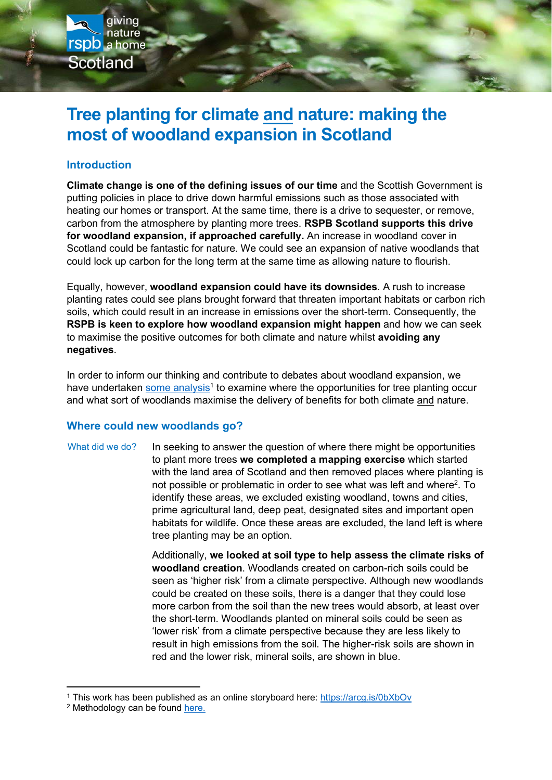

## Introduction

giving nature

rspb a home

**Scotland** 

Climate change is one of the defining issues of our time and the Scottish Government is putting policies in place to drive down harmful emissions such as those associated with heating our homes or transport. At the same time, there is a drive to sequester, or remove, carbon from the atmosphere by planting more trees. RSPB Scotland supports this drive for woodland expansion, if approached carefully. An increase in woodland cover in Scotland could be fantastic for nature. We could see an expansion of native woodlands that could lock up carbon for the long term at the same time as allowing nature to flourish.

Equally, however, woodland expansion could have its downsides. A rush to increase planting rates could see plans brought forward that threaten important habitats or carbon rich soils, which could result in an increase in emissions over the short-term. Consequently, the RSPB is keen to explore how woodland expansion might happen and how we can seek to maximise the positive outcomes for both climate and nature whilst avoiding any negatives.

In order to inform our thinking and contribute to debates about woodland expansion, we have undertaken some analysis<sup>1</sup> to examine where the opportunities for tree planting occur and what sort of woodlands maximise the delivery of benefits for both climate and nature.

## Where could new woodlands go?

In seeking to answer the question of where there might be opportunities to plant more trees we completed a mapping exercise which started with the land area of Scotland and then removed places where planting is not possible or problematic in order to see what was left and where<sup>2</sup>. To identify these areas, we excluded existing woodland, towns and cities, prime agricultural land, deep peat, designated sites and important open habitats for wildlife. Once these areas are excluded, the land left is where tree planting may be an option. What did we do?

> Additionally, we looked at soil type to help assess the climate risks of woodland creation. Woodlands created on carbon-rich soils could be seen as 'higher risk' from a climate perspective. Although new woodlands could be created on these soils, there is a danger that they could lose more carbon from the soil than the new trees would absorb, at least over the short-term. Woodlands planted on mineral soils could be seen as 'lower risk' from a climate perspective because they are less likely to result in high emissions from the soil. The higher-risk soils are shown in red and the lower risk, mineral soils, are shown in blue.

<sup>&</sup>lt;sup>1</sup> This work has been published as an online storyboard here: https://arcg.is/0bXbOv

<sup>&</sup>lt;sup>2</sup> Methodology can be found here.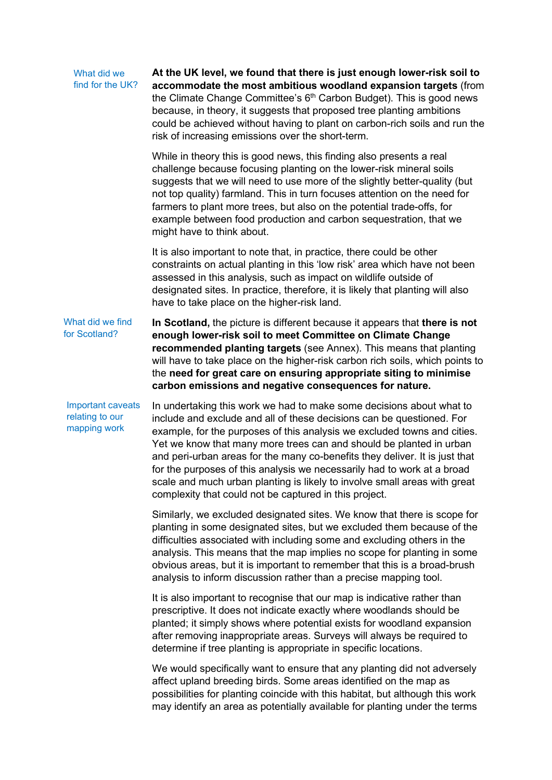#### At the UK level, we found that there is just enough lower-risk soil to accommodate the most ambitious woodland expansion targets (from the Climate Change Committee's 6<sup>th</sup> Carbon Budget). This is good news What did we find for the UK?

because, in theory, it suggests that proposed tree planting ambitions could be achieved without having to plant on carbon-rich soils and run the risk of increasing emissions over the short-term.

While in theory this is good news, this finding also presents a real challenge because focusing planting on the lower-risk mineral soils suggests that we will need to use more of the slightly better-quality (but not top quality) farmland. This in turn focuses attention on the need for farmers to plant more trees, but also on the potential trade-offs, for example between food production and carbon sequestration, that we might have to think about.

It is also important to note that, in practice, there could be other constraints on actual planting in this 'low risk' area which have not been assessed in this analysis, such as impact on wildlife outside of designated sites. In practice, therefore, it is likely that planting will also have to take place on the higher-risk land.

In Scotland, the picture is different because it appears that there is not enough lower-risk soil to meet Committee on Climate Change recommended planting targets (see Annex). This means that planting will have to take place on the higher-risk carbon rich soils, which points to the need for great care on ensuring appropriate siting to minimise carbon emissions and negative consequences for nature. What did we find for Scotland?

In undertaking this work we had to make some decisions about what to include and exclude and all of these decisions can be questioned. For example, for the purposes of this analysis we excluded towns and cities. Yet we know that many more trees can and should be planted in urban and peri-urban areas for the many co-benefits they deliver. It is just that for the purposes of this analysis we necessarily had to work at a broad scale and much urban planting is likely to involve small areas with great complexity that could not be captured in this project. Important caveats relating to our mapping work

> Similarly, we excluded designated sites. We know that there is scope for planting in some designated sites, but we excluded them because of the difficulties associated with including some and excluding others in the analysis. This means that the map implies no scope for planting in some obvious areas, but it is important to remember that this is a broad-brush analysis to inform discussion rather than a precise mapping tool.

It is also important to recognise that our map is indicative rather than prescriptive. It does not indicate exactly where woodlands should be planted; it simply shows where potential exists for woodland expansion after removing inappropriate areas. Surveys will always be required to determine if tree planting is appropriate in specific locations.

We would specifically want to ensure that any planting did not adversely affect upland breeding birds. Some areas identified on the map as possibilities for planting coincide with this habitat, but although this work may identify an area as potentially available for planting under the terms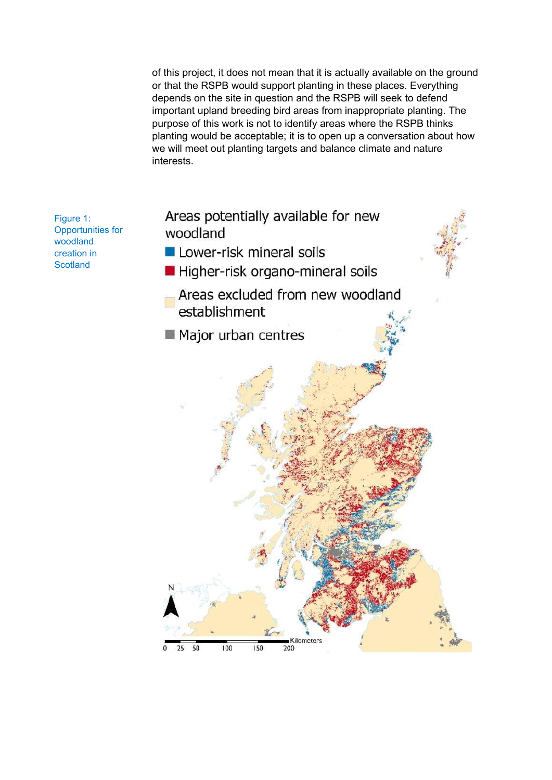of this project, it does not mean that it is actually available on the ground or that the RSPB would support planting in these places. Everything depends on the site in question and the RSPB will seek to defend important upland breeding bird areas from inappropriate planting. The purpose of this work is not to identify areas where the RSPB thinks planting would be acceptable; it is to open up a conversation about how we will meet out planting targets and balance climate and nature interests.

Figure 1: Opportunities for woodland creation in **Scotland** 

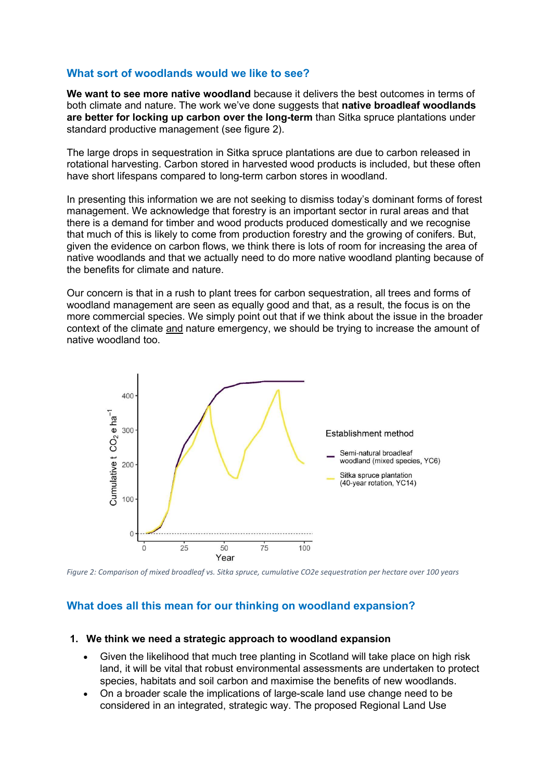# What sort of woodlands would we like to see?

We want to see more native woodland because it delivers the best outcomes in terms of both climate and nature. The work we've done suggests that native broadleaf woodlands are better for locking up carbon over the long-term than Sitka spruce plantations under standard productive management (see figure 2).

The large drops in sequestration in Sitka spruce plantations are due to carbon released in rotational harvesting. Carbon stored in harvested wood products is included, but these often have short lifespans compared to long-term carbon stores in woodland.

In presenting this information we are not seeking to dismiss today's dominant forms of forest management. We acknowledge that forestry is an important sector in rural areas and that there is a demand for timber and wood products produced domestically and we recognise that much of this is likely to come from production forestry and the growing of conifers. But, given the evidence on carbon flows, we think there is lots of room for increasing the area of native woodlands and that we actually need to do more native woodland planting because of the benefits for climate and nature.

Our concern is that in a rush to plant trees for carbon sequestration, all trees and forms of woodland management are seen as equally good and that, as a result, the focus is on the more commercial species. We simply point out that if we think about the issue in the broader context of the climate and nature emergency, we should be trying to increase the amount of native woodland too.



Figure 2: Comparison of mixed broadleaf vs. Sitka spruce, cumulative CO2e sequestration per hectare over 100 years

# What does all this mean for our thinking on woodland expansion?

### 1. We think we need a strategic approach to woodland expansion

- Given the likelihood that much tree planting in Scotland will take place on high risk land, it will be vital that robust environmental assessments are undertaken to protect species, habitats and soil carbon and maximise the benefits of new woodlands.
- On a broader scale the implications of large-scale land use change need to be considered in an integrated, strategic way. The proposed Regional Land Use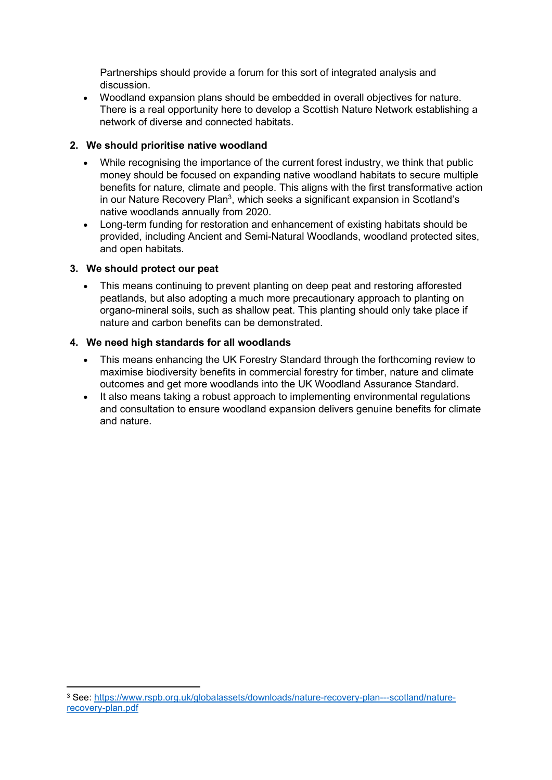Partnerships should provide a forum for this sort of integrated analysis and discussion.

 Woodland expansion plans should be embedded in overall objectives for nature. There is a real opportunity here to develop a Scottish Nature Network establishing a network of diverse and connected habitats.

## 2. We should prioritise native woodland

- While recognising the importance of the current forest industry, we think that public money should be focused on expanding native woodland habitats to secure multiple benefits for nature, climate and people. This aligns with the first transformative action in our Nature Recovery Plan<sup>3</sup>, which seeks a significant expansion in Scotland's native woodlands annually from 2020.
- Long-term funding for restoration and enhancement of existing habitats should be provided, including Ancient and Semi-Natural Woodlands, woodland protected sites, and open habitats.

## 3. We should protect our peat

 This means continuing to prevent planting on deep peat and restoring afforested peatlands, but also adopting a much more precautionary approach to planting on organo-mineral soils, such as shallow peat. This planting should only take place if nature and carbon benefits can be demonstrated.

## 4. We need high standards for all woodlands

- This means enhancing the UK Forestry Standard through the forthcoming review to maximise biodiversity benefits in commercial forestry for timber, nature and climate outcomes and get more woodlands into the UK Woodland Assurance Standard.
- It also means taking a robust approach to implementing environmental regulations and consultation to ensure woodland expansion delivers genuine benefits for climate and nature.

<sup>3</sup> See: https://www.rspb.org.uk/globalassets/downloads/nature-recovery-plan---scotland/naturerecovery-plan.pdf